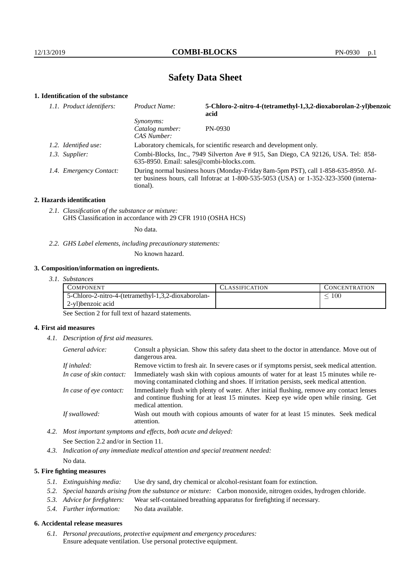# **Safety Data Sheet**

## **1. Identification of the substance**

| 1.1. Product identifiers: | Product Name:                                                       | 5-Chloro-2-nitro-4-(tetramethyl-1,3,2-dioxaborolan-2-yl)benzoic<br>acid                                                                                                     |
|---------------------------|---------------------------------------------------------------------|-----------------------------------------------------------------------------------------------------------------------------------------------------------------------------|
|                           | <i>Synonyms:</i><br>Catalog number:<br>CAS Number:                  | PN-0930                                                                                                                                                                     |
| 1.2. Identified use:      | Laboratory chemicals, for scientific research and development only. |                                                                                                                                                                             |
| 1.3. Supplier:            |                                                                     | Combi-Blocks, Inc., 7949 Silverton Ave # 915, San Diego, CA 92126, USA. Tel: 858-<br>$635-8950$ . Email: sales@combi-blocks.com.                                            |
| 1.4. Emergency Contact:   | tional).                                                            | During normal business hours (Monday-Friday 8am-5pm PST), call 1-858-635-8950. Af-<br>ter business hours, call Infotrac at 1-800-535-5053 (USA) or 1-352-323-3500 (interna- |

#### **2. Hazards identification**

*2.1. Classification of the substance or mixture:* GHS Classification in accordance with 29 CFR 1910 (OSHA HCS)

No data.

*2.2. GHS Label elements, including precautionary statements:*

No known hazard.

#### **3. Composition/information on ingredients.**

*3.1. Substances*

| COMPONENT                                           | LASSIFICATION | CONCENTR ATION |
|-----------------------------------------------------|---------------|----------------|
| 5-Chloro-2-nitro-4-(tetramethyl-1,3,2-dioxaborolan- |               | 100            |
| 2-yl)benzoic acid                                   |               |                |

See Section 2 for full text of hazard statements.

#### **4. First aid measures**

*4.1. Description of first aid measures.*

| General advice:          | Consult a physician. Show this safety data sheet to the doctor in attendance. Move out of<br>dangerous area.                                                                                            |
|--------------------------|---------------------------------------------------------------------------------------------------------------------------------------------------------------------------------------------------------|
| If inhaled:              | Remove victim to fresh air. In severe cases or if symptoms persist, seek medical attention.                                                                                                             |
| In case of skin contact: | Immediately wash skin with copious amounts of water for at least 15 minutes while re-<br>moving contaminated clothing and shoes. If irritation persists, seek medical attention.                        |
| In case of eye contact:  | Immediately flush with plenty of water. After initial flushing, remove any contact lenses<br>and continue flushing for at least 15 minutes. Keep eye wide open while rinsing. Get<br>medical attention. |
| If swallowed:            | Wash out mouth with copious amounts of water for at least 15 minutes. Seek medical<br>attention.                                                                                                        |

*4.2. Most important symptoms and effects, both acute and delayed:* See Section 2.2 and/or in Section 11.

*4.3. Indication of any immediate medical attention and special treatment needed:* No data.

### **5. Fire fighting measures**

- *5.1. Extinguishing media:* Use dry sand, dry chemical or alcohol-resistant foam for extinction.
- *5.2. Special hazards arising from the substance or mixture:* Carbon monoxide, nitrogen oxides, hydrogen chloride.
- *5.3. Advice for firefighters:* Wear self-contained breathing apparatus for firefighting if necessary.
- *5.4. Further information:* No data available.

### **6. Accidental release measures**

*6.1. Personal precautions, protective equipment and emergency procedures:* Ensure adequate ventilation. Use personal protective equipment.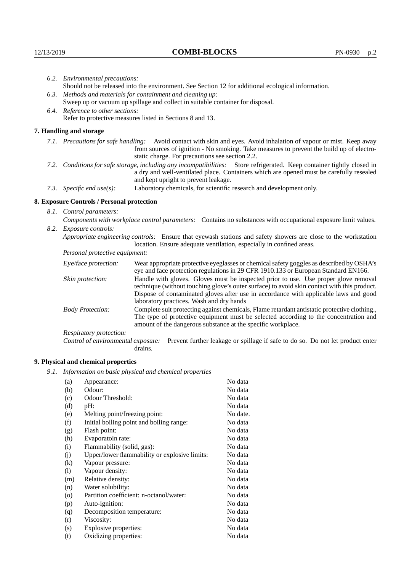|                                                                                                               | 6.2. Environmental precautions:                                                                                                                                                                                                                                    |                                                                                                                                                                                                                                                                            |  |  |  |  |
|---------------------------------------------------------------------------------------------------------------|--------------------------------------------------------------------------------------------------------------------------------------------------------------------------------------------------------------------------------------------------------------------|----------------------------------------------------------------------------------------------------------------------------------------------------------------------------------------------------------------------------------------------------------------------------|--|--|--|--|
|                                                                                                               | Should not be released into the environment. See Section 12 for additional ecological information.                                                                                                                                                                 |                                                                                                                                                                                                                                                                            |  |  |  |  |
|                                                                                                               | 6.3. Methods and materials for containment and cleaning up:                                                                                                                                                                                                        |                                                                                                                                                                                                                                                                            |  |  |  |  |
|                                                                                                               | Sweep up or vacuum up spillage and collect in suitable container for disposal.                                                                                                                                                                                     |                                                                                                                                                                                                                                                                            |  |  |  |  |
|                                                                                                               |                                                                                                                                                                                                                                                                    | 6.4. Reference to other sections:                                                                                                                                                                                                                                          |  |  |  |  |
|                                                                                                               |                                                                                                                                                                                                                                                                    | Refer to protective measures listed in Sections 8 and 13.                                                                                                                                                                                                                  |  |  |  |  |
|                                                                                                               | 7. Handling and storage                                                                                                                                                                                                                                            |                                                                                                                                                                                                                                                                            |  |  |  |  |
|                                                                                                               | 7.1. Precautions for safe handling: Avoid contact with skin and eyes. Avoid inhalation of vapour or mist. Keep away<br>from sources of ignition - No smoking. Take measures to prevent the build up of electro-<br>static charge. For precautions see section 2.2. |                                                                                                                                                                                                                                                                            |  |  |  |  |
|                                                                                                               |                                                                                                                                                                                                                                                                    | 7.2. Conditions for safe storage, including any incompatibilities: Store refrigerated. Keep container tightly closed in<br>a dry and well-ventilated place. Containers which are opened must be carefully resealed<br>and kept upright to prevent leakage.                 |  |  |  |  |
|                                                                                                               | 7.3. Specific end use(s):                                                                                                                                                                                                                                          | Laboratory chemicals, for scientific research and development only.                                                                                                                                                                                                        |  |  |  |  |
|                                                                                                               | 8. Exposure Controls / Personal protection                                                                                                                                                                                                                         |                                                                                                                                                                                                                                                                            |  |  |  |  |
|                                                                                                               | 8.1. Control parameters:                                                                                                                                                                                                                                           |                                                                                                                                                                                                                                                                            |  |  |  |  |
| Components with workplace control parameters: Contains no substances with occupational exposure limit values. |                                                                                                                                                                                                                                                                    |                                                                                                                                                                                                                                                                            |  |  |  |  |
|                                                                                                               | 8.2. Exposure controls:                                                                                                                                                                                                                                            |                                                                                                                                                                                                                                                                            |  |  |  |  |
|                                                                                                               | Appropriate engineering controls: Ensure that eyewash stations and safety showers are close to the workstation<br>location. Ensure adequate ventilation, especially in confined areas.                                                                             |                                                                                                                                                                                                                                                                            |  |  |  |  |
|                                                                                                               | Personal protective equipment:                                                                                                                                                                                                                                     |                                                                                                                                                                                                                                                                            |  |  |  |  |
|                                                                                                               | Eye/face protection:                                                                                                                                                                                                                                               | Wear appropriate protective eyeglasses or chemical safety goggles as described by OSHA's<br>eye and face protection regulations in 29 CFR 1910.133 or European Standard EN166.                                                                                             |  |  |  |  |
|                                                                                                               | Skin protection:                                                                                                                                                                                                                                                   | Handle with gloves. Gloves must be inspected prior to use. Use proper glove removal<br>technique (without touching glove's outer surface) to avoid skin contact with this product.<br>Dispose of contaminated gloves after use in accordance with applicable laws and good |  |  |  |  |

laboratory practices. Wash and dry hands Body Protection: Complete suit protecting against chemicals, Flame retardant antistatic protective clothing., The type of protective equipment must be selected according to the concentration and amount of the dangerous substance at the specific workplace.

Respiratory protection:

Control of environmental exposure: Prevent further leakage or spillage if safe to do so. Do not let product enter drains.

# **9. Physical and chemical properties**

*9.1. Information on basic physical and chemical properties*

| (a)                        | Appearance:                                   | No data  |
|----------------------------|-----------------------------------------------|----------|
| (b)                        | Odour:                                        | No data  |
| (c)                        | Odour Threshold:                              | No data  |
| (d)                        | pH:                                           | No data  |
| (e)                        | Melting point/freezing point:                 | No date. |
| (f)                        | Initial boiling point and boiling range:      | No data  |
| (g)                        | Flash point:                                  | No data  |
| (h)                        | Evaporatoin rate:                             | No data  |
| (i)                        | Flammability (solid, gas):                    | No data  |
| (j)                        | Upper/lower flammability or explosive limits: | No data  |
| $\left( k\right)$          | Vapour pressure:                              | No data  |
| $\left( \mathrm{l}\right)$ | Vapour density:                               | No data  |
| (m)                        | Relative density:                             | No data  |
| (n)                        | Water solubility:                             | No data  |
| $\circ$                    | Partition coefficient: n-octanol/water:       | No data  |
| (p)                        | Auto-ignition:                                | No data  |
| (q)                        | Decomposition temperature:                    | No data  |
| (r)                        | Viscosity:                                    | No data  |
| (s)                        | Explosive properties:                         | No data  |
| (t)                        | Oxidizing properties:                         | No data  |